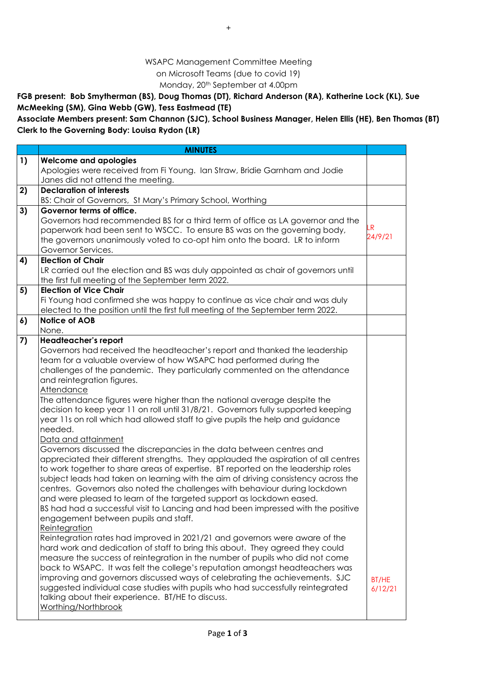## WSAPC Management Committee Meeting on Microsoft Teams (due to covid 19) Monday, 20th September at 4.00pm

**FGB present: Bob Smytherman (BS), Doug Thomas (DT), Richard Anderson (RA), Katherine Lock (KL), Sue McMeeking (SM), Gina Webb (GW), Tess Eastmead (TE)**

**Associate Members present: Sam Channon (SJC), School Business Manager, Helen Ellis (HE), Ben Thomas (BT) Clerk to the Governing Body: Louisa Rydon (LR)**

|    | <b>MINUTES</b>                                                                           |               |
|----|------------------------------------------------------------------------------------------|---------------|
| 1) | <b>Welcome and apologies</b>                                                             |               |
|    | Apologies were received from Fi Young. Ian Straw, Bridie Garnham and Jodie               |               |
|    | Janes did not attend the meeting.                                                        |               |
| 2) | <b>Declaration of interests</b>                                                          |               |
|    | BS: Chair of Governors, St Mary's Primary School, Worthing                               |               |
| 3) | Governor terms of office.                                                                |               |
|    | Governors had recommended BS for a third term of office as LA governor and the           |               |
|    | paperwork had been sent to WSCC. To ensure BS was on the governing body,                 | LR<br>24/9/21 |
|    | the governors unanimously voted to co-opt him onto the board. LR to inform               |               |
|    | Governor Services.                                                                       |               |
| 4) | <b>Election of Chair</b>                                                                 |               |
|    | LR carried out the election and BS was duly appointed as chair of governors until        |               |
|    | the first full meeting of the September term 2022.                                       |               |
| 5) | <b>Election of Vice Chair</b>                                                            |               |
|    | Fi Young had confirmed she was happy to continue as vice chair and was duly              |               |
|    | elected to the position until the first full meeting of the September term 2022.         |               |
| 6) | <b>Notice of AOB</b>                                                                     |               |
|    | None.                                                                                    |               |
| 7) | Headteacher's report                                                                     |               |
|    | Governors had received the headteacher's report and thanked the leadership               |               |
|    | team for a valuable overview of how WSAPC had performed during the                       |               |
|    | challenges of the pandemic. They particularly commented on the attendance                |               |
|    | and reintegration figures.                                                               |               |
|    | Attendance                                                                               |               |
|    | The attendance figures were higher than the national average despite the                 |               |
|    | decision to keep year 11 on roll until 31/8/21. Governors fully supported keeping        |               |
|    | year 11s on roll which had allowed staff to give pupils the help and guidance<br>needed. |               |
|    | Data and attainment                                                                      |               |
|    | Governors discussed the discrepancies in the data between centres and                    |               |
|    | appreciated their different strengths. They applauded the aspiration of all centres      |               |
|    | to work together to share areas of expertise. BT reported on the leadership roles        |               |
|    | subject leads had taken on learning with the aim of driving consistency across the       |               |
|    | centres. Governors also noted the challenges with behaviour during lockdown              |               |
|    | and were pleased to learn of the targeted support as lockdown eased.                     |               |
|    | BS had had a successful visit to Lancing and had been impressed with the positive        |               |
|    | engagement between pupils and staff.                                                     |               |
|    | Reintegration                                                                            |               |
|    | Reintegration rates had improved in 2021/21 and governors were aware of the              |               |
|    | hard work and dedication of staff to bring this about. They agreed they could            |               |
|    | measure the success of reintegration in the number of pupils who did not come            |               |
|    | back to WSAPC. It was felt the college's reputation amongst headteachers was             |               |
|    | improving and governors discussed ways of celebrating the achievements. SJC              | BT/HE         |
|    | suggested individual case studies with pupils who had successfully reintegrated          | 6/12/21       |
|    | talking about their experience. BT/HE to discuss.                                        |               |
|    | Worthing/Northbrook                                                                      |               |
|    |                                                                                          |               |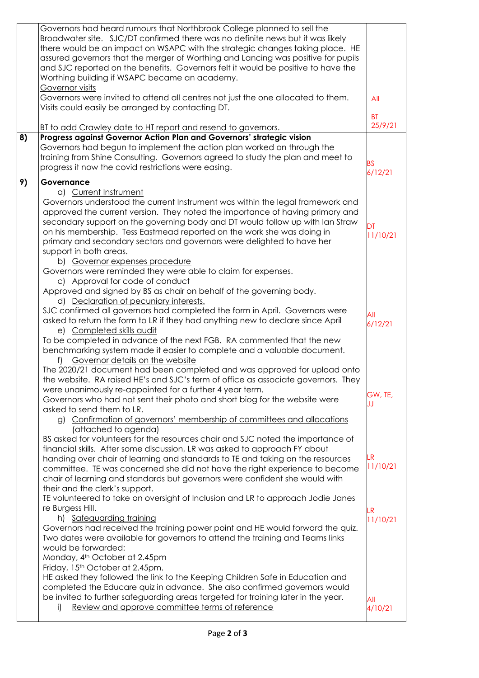|    | Governors had heard rumours that Northbrook College planned to sell the           |                |
|----|-----------------------------------------------------------------------------------|----------------|
|    | Broadwater site. SJC/DT confirmed there was no definite news but it was likely    |                |
|    | there would be an impact on WSAPC with the strategic changes taking place. HE     |                |
|    | assured governors that the merger of Worthing and Lancing was positive for pupils |                |
|    | and SJC reported on the benefits. Governors felt it would be positive to have the |                |
|    | Worthing building if WSAPC became an academy.                                     |                |
|    | Governor visits                                                                   |                |
|    | Governors were invited to attend all centres not just the one allocated to them.  | All            |
|    | Visits could easily be arranged by contacting DT.                                 |                |
|    |                                                                                   | <b>BT</b>      |
|    | BT to add Crawley date to HT report and resend to governors.                      | 25/9/21        |
| 8) | Progress against Governor Action Plan and Governors' strategic vision             |                |
|    | Governors had begun to implement the action plan worked on through the            |                |
|    | training from Shine Consulting. Governors agreed to study the plan and meet to    |                |
|    |                                                                                   | <b>BS</b>      |
|    | progress it now the covid restrictions were easing.                               | 6/12/21        |
| 9) | Governance                                                                        |                |
|    | a) Current Instrument                                                             |                |
|    | Governors understood the current Instrument was within the legal framework and    |                |
|    | approved the current version. They noted the importance of having primary and     |                |
|    | secondary support on the governing body and DT would follow up with lan Straw     |                |
|    | on his membership. Tess Eastmead reported on the work she was doing in            | DT             |
|    | primary and secondary sectors and governors were delighted to have her            | 11/10/21       |
|    | support in both areas.                                                            |                |
|    | b) Governor expenses procedure                                                    |                |
|    | Governors were reminded they were able to claim for expenses.                     |                |
|    | c) Approval for code of conduct                                                   |                |
|    | Approved and signed by BS as chair on behalf of the governing body.               |                |
|    | d) Declaration of pecuniary interests.                                            |                |
|    | SJC confirmed all governors had completed the form in April. Governors were       |                |
|    | asked to return the form to LR if they had anything new to declare since April    | All            |
|    | e) Completed skills audit                                                         | 6/12/21        |
|    | To be completed in advance of the next FGB. RA commented that the new             |                |
|    |                                                                                   |                |
|    | benchmarking system made it easier to complete and a valuable document.           |                |
|    | Governor details on the website<br>f)                                             |                |
|    | The 2020/21 document had been completed and was approved for upload onto          |                |
|    | the website. RA raised HE's and SJC's term of office as associate governors. They |                |
|    | were unanimously re-appointed for a further 4 year term.                          | GW, TE,        |
|    | Governors who had not sent their photo and short biog for the website were        | IJ             |
|    | asked to send them to LR.                                                         |                |
|    | g) Confirmation of governors' membership of committees and allocations            |                |
|    | (attached to agenda)                                                              |                |
|    | BS asked for volunteers for the resources chair and SJC noted the importance of   |                |
|    | financial skills. After some discussion, LR was asked to approach FY about        |                |
|    | handing over chair of learning and standards to TE and taking on the resources    | LR<br>11/10/21 |
|    | committee. TE was concerned she did not have the right experience to become       |                |
|    | chair of learning and standards but governors were confident she would with       |                |
|    | their and the clerk's support.                                                    |                |
|    | TE volunteered to take on oversight of Inclusion and LR to approach Jodie Janes   |                |
|    | re Burgess Hill.                                                                  | LR             |
|    | h) Safeguarding training                                                          | 11/10/21       |
|    | Governors had received the training power point and HE would forward the quiz.    |                |
|    | Two dates were available for governors to attend the training and Teams links     |                |
|    | would be forwarded:                                                               |                |
|    | Monday, 4 <sup>th</sup> October at 2.45pm                                         |                |
|    | Friday, 15 <sup>th</sup> October at 2.45pm.                                       |                |
|    | HE asked they followed the link to the Keeping Children Safe in Education and     |                |
|    | completed the Educare quiz in advance. She also confirmed governors would         |                |
|    | be invited to further safeguarding areas targeted for training later in the year. | All            |
|    | Review and approve committee terms of reference<br>i)                             | 4/10/21        |
|    |                                                                                   |                |